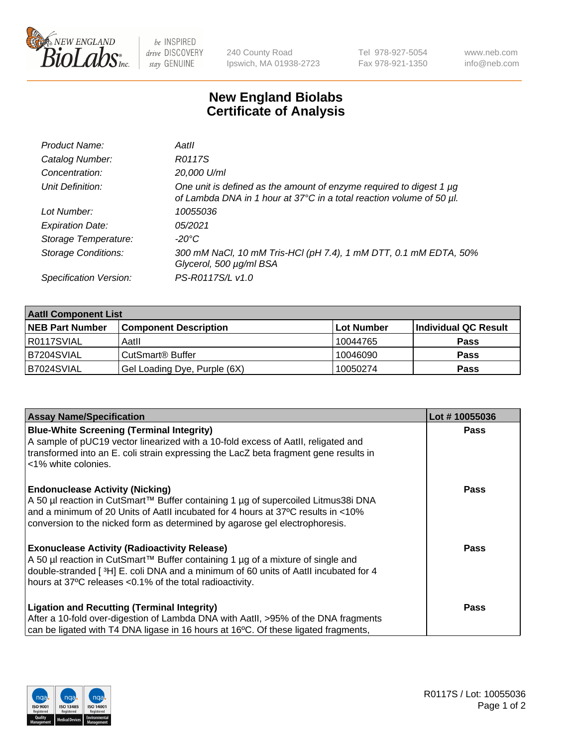

 $be$  INSPIRED drive DISCOVERY stay GENUINE

240 County Road Ipswich, MA 01938-2723 Tel 978-927-5054 Fax 978-921-1350 www.neb.com info@neb.com

## **New England Biolabs Certificate of Analysis**

| Product Name:           | Aatll                                                                                                                                            |
|-------------------------|--------------------------------------------------------------------------------------------------------------------------------------------------|
| Catalog Number:         | R0117S                                                                                                                                           |
| Concentration:          | 20,000 U/ml                                                                                                                                      |
| Unit Definition:        | One unit is defined as the amount of enzyme required to digest 1 $\mu$ g<br>of Lambda DNA in 1 hour at 37°C in a total reaction volume of 50 µl. |
| Lot Number:             | 10055036                                                                                                                                         |
| <b>Expiration Date:</b> | 05/2021                                                                                                                                          |
| Storage Temperature:    | -20°C                                                                                                                                            |
| Storage Conditions:     | 300 mM NaCl, 10 mM Tris-HCl (pH 7.4), 1 mM DTT, 0.1 mM EDTA, 50%<br>Glycerol, 500 µg/ml BSA                                                      |
| Specification Version:  | PS-R0117S/L v1.0                                                                                                                                 |

| <b>Aatll Component List</b> |                              |            |                      |  |  |
|-----------------------------|------------------------------|------------|----------------------|--|--|
| <b>NEB Part Number</b>      | <b>Component Description</b> | Lot Number | Individual QC Result |  |  |
| R0117SVIAL                  | Aatll                        | 10044765   | <b>Pass</b>          |  |  |
| B7204SVIAL                  | CutSmart <sup>®</sup> Buffer | 10046090   | <b>Pass</b>          |  |  |
| B7024SVIAL                  | Gel Loading Dye, Purple (6X) | 10050274   | <b>Pass</b>          |  |  |

| <b>Assay Name/Specification</b>                                                                             | Lot #10055036 |
|-------------------------------------------------------------------------------------------------------------|---------------|
| <b>Blue-White Screening (Terminal Integrity)</b>                                                            | <b>Pass</b>   |
| A sample of pUC19 vector linearized with a 10-fold excess of Aatll, religated and                           |               |
| transformed into an E. coli strain expressing the LacZ beta fragment gene results in<br><1% white colonies. |               |
|                                                                                                             |               |
| <b>Endonuclease Activity (Nicking)</b>                                                                      | <b>Pass</b>   |
| A 50 µl reaction in CutSmart™ Buffer containing 1 µg of supercoiled Litmus38i DNA                           |               |
| and a minimum of 20 Units of AatII incubated for 4 hours at 37°C results in <10%                            |               |
| conversion to the nicked form as determined by agarose gel electrophoresis.                                 |               |
| <b>Exonuclease Activity (Radioactivity Release)</b>                                                         | Pass          |
| A 50 µl reaction in CutSmart™ Buffer containing 1 µg of a mixture of single and                             |               |
| double-stranded [3H] E. coli DNA and a minimum of 60 units of Aatll incubated for 4                         |               |
| hours at 37°C releases <0.1% of the total radioactivity.                                                    |               |
| <b>Ligation and Recutting (Terminal Integrity)</b>                                                          | <b>Pass</b>   |
| After a 10-fold over-digestion of Lambda DNA with AatII, >95% of the DNA fragments                          |               |
| can be ligated with T4 DNA ligase in 16 hours at 16 <sup>o</sup> C. Of these ligated fragments,             |               |